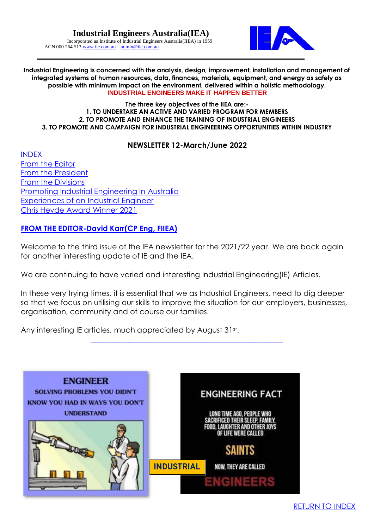

**Industrial Engineering is concerned with the analysis, design, improvement, installation and management of integrated systems of human resources, data, finances, materials, equipment, and energy as safely as possible with minimum impact on the environment, delivered within a holistic methodology. INDUSTRIAL ENGINEERS MAKE IT HAPPEN BETTER**

#### **The three key objectives of the IIEA are:- 1. TO UNDERTAKE AN ACTIVE AND VARIED PROGRAM FOR MEMBERS 2. TO PROMOTE AND ENHANCE THE TRAINING OF INDUSTRIAL ENGINEERS 3. TO PROMOTE AND CAMPAIGN FOR INDUSTRIAL ENGINEERING OPPORTUNITIES WITHIN INDUSTRY**

### **NEWSLETTER 12-March/June 2022**

<span id="page-0-1"></span>INDEX [From the Editor](#page-0-0) [From the President](#page-1-0) [From the Divisions](#page-2-0) [Promoting Industrial Engineering in Australia](#page-3-0) [Experiences of an Industrial Engineer](#page-6-0) [Chris Heyde Award Winner 2021](#page-7-0)

# <span id="page-0-0"></span>**[FROM THE EDITOR-David Karr\(CP Eng, FIIEA\)](From%20the%20Editor)**

Welcome to the third issue of the IEA newsletter for the 2021/22 year. We are back again for another interesting update of IE and the IEA.

We are continuing to have varied and interesting Industrial Engineering(IE) Articles.

In these very trying times, it is essential that we as Industrial Engineers, need to dig deeper so that we focus on utilising our skills to improve the situation for our employers, businesses, organisation, community and of course our families.

[\\_\\_\\_\\_\\_\\_\\_\\_\\_\\_\\_\\_\\_\\_\\_\\_\\_\\_\\_\\_\\_\\_\\_\\_\\_\\_\\_\\_\\_\\_\\_\\_\\_\\_\\_\\_\\_\\_\\_\\_\\_\\_\\_\\_\\_\\_\\_\\_\\_\\_\\_](#page-0-1)

Any interesting IE articles, much appreciated by August 31st.

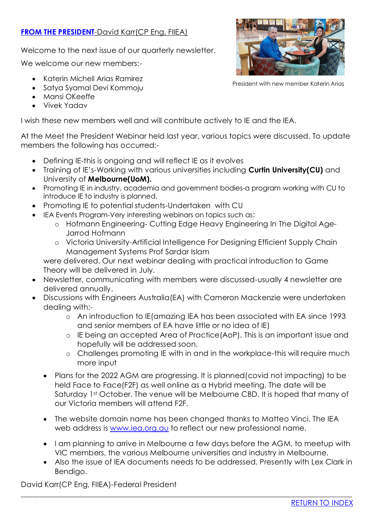# <span id="page-1-0"></span>**[FROM THE PRESIDENT](#page-1-0)-David Karr(CP Eng, FIIEA)**

Welcome to the next issue of our quarterly newsletter.

We welcome our new members:-

- Katerin Michell Arias Ramirez
- Satya Syamal Devi Kommoju
- Mansi OKeeffe
- Vivek Yadav

I wish these new members well and will contribute actively to IE and the IEA.

At the Meet the President Webinar held last year, various topics were discussed. To update members the following has occurred:-

- Defining IE-this is ongoing and will reflect IE as it evolves
- Training of IE's-Working with various universities including **Curtin University(CU)** and University of **Melbourne(UoM).**
- Promoting IE in industry, academia and government bodies-a program working with CU to introduce IE to industry is planned.
- Promoting IE to potential students-Undertaken with CU
- IEA Events Program-Very interesting webinars on topics such as:
	- o Hofmann Engineering- Cutting Edge Heavy Engineering In The Digital Age-Jarrod Hofmann
	- o Victoria University-Artificial Intelligence For Designing Efficient Supply Chain Management Systems Prof Sardar Islam

were delivered. Our next webinar dealing with practical introduction to Game Theory will be delivered in July.

- Newsletter, communicating with members were discussed-usually 4 newsletter are delivered annually.
- Discussions with Engineers Australia(EA) with Cameron Mackenzie were undertaken dealing with:
	- o An introduction to IE(amazing IEA has been associated with EA since 1993 and senior members of EA have little or no idea of IE)
	- o IE being an accepted Area of Practice(AoP). This is an important issue and hopefully will be addressed soon.
	- o Challenges promoting IE with in and in the workplace-this will require much more input
	- Plans for the 2022 AGM are progressing. It is planned(covid not impacting) to be held Face to Face(F2F) as well online as a Hybrid meeting. The date will be Saturday 1st October. The venue will be Melbourne CBD. It is hoped that many of our Victoria members will attend F2F.
	- The website domain name has been changed thanks to Matteo Vinci. The IEA web address is [www.iea.org.au](http://www.iea.org.au/) to reflect our new professional name.
	- I am planning to arrive in Melbourne a few days before the AGM, to meetup with VIC members, the various Melbourne universities and industry in Melbourne.
	- Also the issue of IEA documents needs to be addressed. Presently with Lex Clark in Bendigo.

\_\_\_\_\_\_\_\_\_\_\_\_\_\_\_\_\_\_\_\_\_\_\_\_\_\_\_\_\_\_\_\_\_\_\_\_\_\_\_\_\_\_\_\_\_\_\_\_\_\_\_\_\_\_\_\_\_\_\_\_\_\_\_\_\_\_\_\_\_\_\_\_\_\_\_\_\_\_\_\_\_\_\_\_\_\_\_\_

David Karr(CP Eng, FIIEA)-Federal President

President with new member Katerin Arias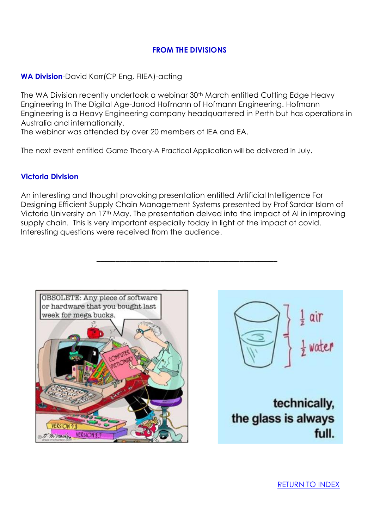# <span id="page-2-0"></span>**FROM THE DIVISIONS**

# **WA Division**-David Karr(CP Eng, FIIEA)-acting

The WA Division recently undertook a webinar 30<sup>th</sup> March entitled Cutting Edge Heavy Engineering In The Digital Age-Jarrod Hofmann of Hofmann Engineering. Hofmann Engineering is a Heavy Engineering company headquartered in Perth but has operations in Australia and internationally.

The webinar was attended by over 20 members of IEA and EA.

The next event entitled Game Theory-A Practical Application will be delivered in July.

### **Victoria Division**

An interesting and thought provoking presentation entitled Artificial Intelligence For Designing Efficient Supply Chain Management Systems presented by Prof Sardar Islam of Victoria University on 17th May. The presentation delved into the impact of AI in improving supply chain. This is very important especially today in light of the impact of covid. Interesting questions were received from the audience.

**\_\_\_\_\_\_\_\_\_\_\_\_\_\_\_\_\_\_\_\_\_\_\_\_\_\_\_\_\_\_\_\_\_\_\_\_\_\_\_\_\_\_\_\_\_\_\_\_**





technically, the glass is always full.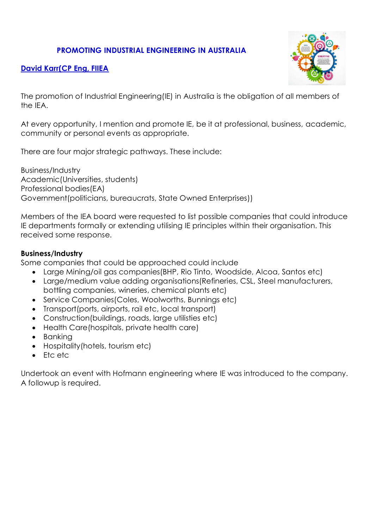# **PROMOTING INDUSTRIAL ENGINEERING IN AUSTRALIA**

<span id="page-3-0"></span>



The promotion of Industrial Engineering(IE) in Australia is the obligation of all members of the IEA.

At every opportunity, I mention and promote IE, be it at professional, business, academic, community or personal events as appropriate.

There are four major strategic pathways. These include:

Business/Industry Academic(Universities, students) Professional bodies(EA) Government(politicians, bureaucrats, State Owned Enterprises))

Members of the IEA board were requested to list possible companies that could introduce IE departments formally or extending utilising IE principles within their organisation. This received some response.

### **Business/Industry**

Some companies that could be approached could include

- Large Mining/oil gas companies(BHP, Rio Tinto, Woodside, Alcoa, Santos etc)
- Large/medium value adding organisations(Refineries, CSL, Steel manufacturers, bottling companies, wineries, chemical plants etc)
- Service Companies (Coles, Woolworths, Bunnings etc)
- Transport(ports, airports, rail etc, local transport)
- Construction(buildings, roads, large utilisties etc)
- Health Care(hospitals, private health care)
- Banking
- Hospitality (hotels, tourism etc)
- Etc etc

Undertook an event with Hofmann engineering where IE was introduced to the company. A followup is required.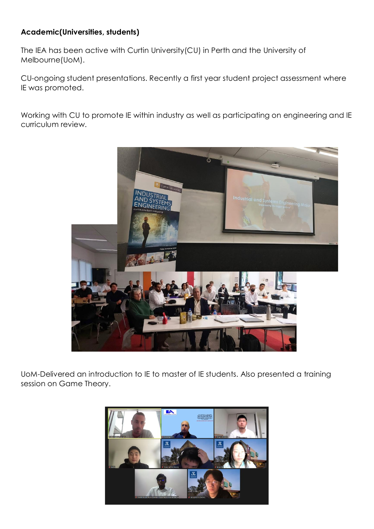# **Academic(Universities, students)**

The IEA has been active with Curtin University(CU) in Perth and the University of Melbourne(UoM).

CU-ongoing student presentations. Recently a first year student project assessment where IE was promoted.

Working with CU to promote IE within industry as well as participating on engineering and IE curriculum review.



UoM-Delivered an introduction to IE to master of IE students. Also presented a training session on Game Theory.

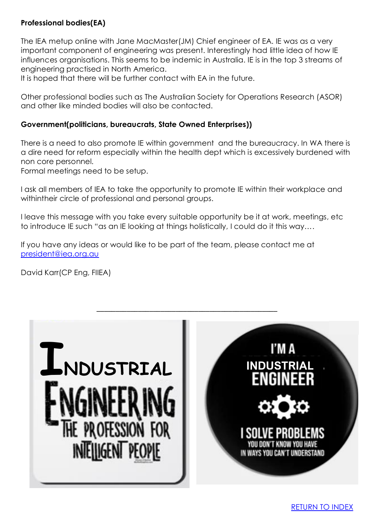# **Professional bodies(EA)**

The IEA metup online with Jane MacMaster(JM) Chief engineer of EA. IE was as a very important component of engineering was present. Interestingly had little idea of how IE influences organisations. This seems to be indemic in Australia. IE is in the top 3 streams of engineering practised in North America.

It is hoped that there will be further contact with EA in the future.

Other professional bodies such as The Australian Society for Operations Research (ASOR) and other like minded bodies will also be contacted.

#### **Government(politicians, bureaucrats, State Owned Enterprises))**

There is a need to also promote IE within government and the bureaucracy. In WA there is a dire need for reform especially within the health dept which is excessively burdened with non core personnel.

Formal meetings need to be setup.

I ask all members of IEA to take the opportunity to promote IE within their workplace and withintheir circle of professional and personal groups.

I leave this message with you take every suitable opportunity be it at work, meetings, etc to introduce IE such "as an IE looking at things holistically, I could do it this way….

If you have any ideas or would like to be part of the team, please contact me at [president@iea.org.au](mailto:president@iea.org.au)

David Karr(CP Eng, FIIEA)

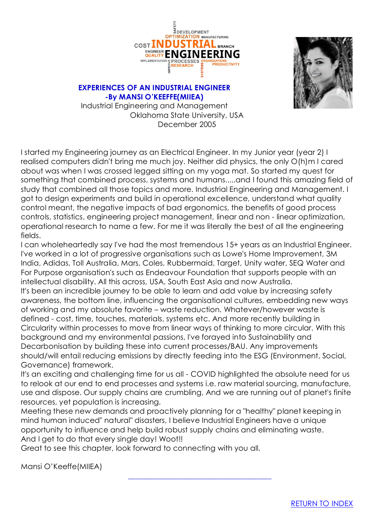



#### <span id="page-6-0"></span>**EXPERIENCES OF AN INDUSTRIAL ENGINEER -By MANSI O'KEEFFE(MIIEA)**

Industrial Engineering and Management Oklahoma State University, USA December 2005

I started my Engineering journey as an Electrical Engineer. In my Junior year (year 2) I realised computers didn't bring me much joy. Neither did physics, the only O(h)m I cared about was when I was crossed legged sitting on my yoga mat. So started my quest for something that combined process, systems and humans.....and I found this amazing field of study that combined all those topics and more. Industrial Engineering and Management. I got to design experiments and build in operational excellence, understand what quality control meant, the negative impacts of bad ergonomics, the benefits of good process controls, statistics, engineering project management, linear and non - linear optimization, operational research to name a few. For me it was literally the best of all the engineering fields.

I can wholeheartedly say I've had the most tremendous 15+ years as an Industrial Engineer. I've worked in a lot of progressive organisations such as Lowe's Home Improvement, 3M India, Adidas, Toll Australia, Mars, Coles, Rubbermaid, Target, Unity water, SEQ Water and For Purpose organisation's such as Endeavour Foundation that supports people with an intellectual disability. All this across, USA, South East Asia and now Australia. It's been an incredible journey to be able to learn and add value by increasing safety awareness, the bottom line, influencing the organisational cultures, embedding new ways of working and my absolute favorite – waste reduction. Whatever/however waste is defined - cost, time, touches, materials, systems etc. And more recently building in Circularity within processes to move from linear ways of thinking to more circular. With this background and my environmental passions, I've forayed into Sustainability and Decarbonisation by building these into current processes/BAU. Any improvements should/will entail reducing emissions by directly feeding into the ESG (Environment, Social, Governance) framework.

It's an exciting and challenging time for us all - COVID highlighted the absolute need for us to relook at our end to end processes and systems i.e. raw material sourcing, manufacture, use and dispose. Our supply chains are crumbling, And we are running out of planet's finite resources, yet population is increasing.

Meeting these new demands and proactively planning for a "healthy" planet keeping in mind human induced" natural" disasters, I believe Industrial Engineers have a unique opportunity to influence and help build robust supply chains and eliminating waste. And I get to do that every single day! Woot!!

Great to see this chapter, look forward to connecting with you all.

 **\_\_\_\_\_\_\_\_\_\_\_\_\_\_\_\_\_\_\_\_\_\_\_\_\_\_\_\_\_\_\_\_\_\_\_\_\_\_**

Mansi O'Keeffe(MIIEA)